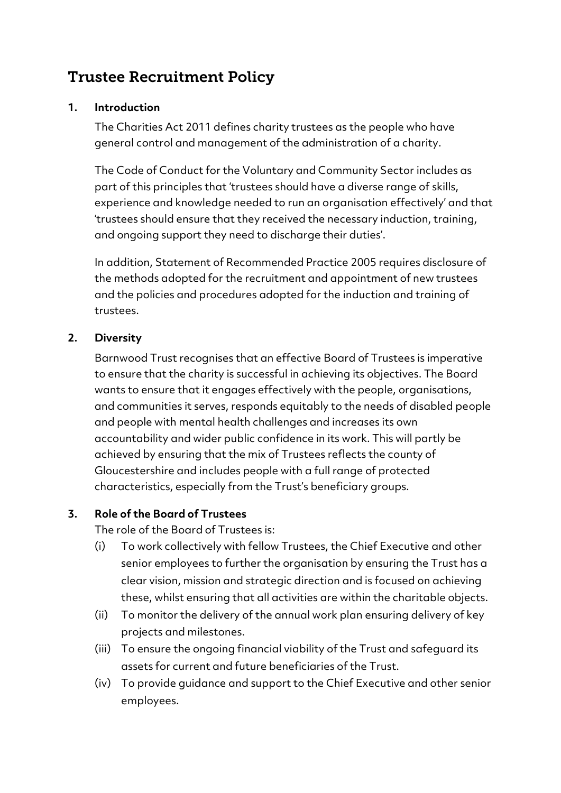# Trustee Recruitment Policy

#### **1. Introduction**

The Charities Act 2011 defines charity trustees as the people who have general control and management of the administration of a charity.

The Code of Conduct for the Voluntary and Community Sector includes as part of this principles that 'trustees should have a diverse range of skills, experience and knowledge needed to run an organisation effectively' and that 'trustees should ensure that they received the necessary induction, training, and ongoing support they need to discharge their duties'.

In addition, Statement of Recommended Practice 2005 requires disclosure of the methods adopted for the recruitment and appointment of new trustees and the policies and procedures adopted for the induction and training of trustees.

## **2. Diversity**

Barnwood Trust recognises that an effective Board of Trustees is imperative to ensure that the charity is successful in achieving its objectives. The Board wants to ensure that it engages effectively with the people, organisations, and communities it serves, responds equitably to the needs of disabled people and people with mental health challenges and increases its own accountability and wider public confidence in its work. This will partly be achieved by ensuring that the mix of Trustees reflects the county of Gloucestershire and includes people with a full range of protected characteristics, especially from the Trust's beneficiary groups.

#### **3. Role of the Board of Trustees**

The role of the Board of Trustees is:

- (i) To work collectively with fellow Trustees, the Chief Executive and other senior employees to further the organisation by ensuring the Trust has a clear vision, mission and strategic direction and is focused on achieving these, whilst ensuring that all activities are within the charitable objects.
- (ii) To monitor the delivery of the annual work plan ensuring delivery of key projects and milestones.
- (iii) To ensure the ongoing financial viability of the Trust and safeguard its assets for current and future beneficiaries of the Trust.
- (iv) To provide guidance and support to the Chief Executive and other senior employees.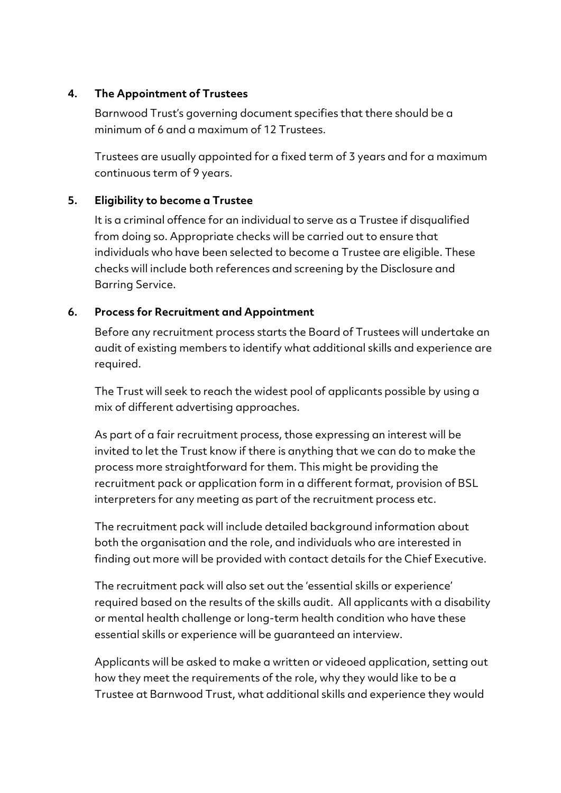#### **4. The Appointment of Trustees**

Barnwood Trust's governing document specifies that there should be a minimum of 6 and a maximum of 12 Trustees.

Trustees are usually appointed for a fixed term of 3 years and for a maximum continuous term of 9 years.

## **5. Eligibility to become a Trustee**

It is a criminal offence for an individual to serve as a Trustee if disqualified from doing so. Appropriate checks will be carried out to ensure that individuals who have been selected to become a Trustee are eligible. These checks will include both references and screening by the Disclosure and Barring Service.

## **6. Process for Recruitment and Appointment**

Before any recruitment process starts the Board of Trustees will undertake an audit of existing members to identify what additional skills and experience are required.

The Trust will seek to reach the widest pool of applicants possible by using a mix of different advertising approaches.

As part of a fair recruitment process, those expressing an interest will be invited to let the Trust know if there is anything that we can do to make the process more straightforward for them. This might be providing the recruitment pack or application form in a different format, provision of BSL interpreters for any meeting as part of the recruitment process etc.

The recruitment pack will include detailed background information about both the organisation and the role, and individuals who are interested in finding out more will be provided with contact details for the Chief Executive.

The recruitment pack will also set out the 'essential skills or experience' required based on the results of the skills audit. All applicants with a disability or mental health challenge or long-term health condition who have these essential skills or experience will be guaranteed an interview.

Applicants will be asked to make a written or videoed application, setting out how they meet the requirements of the role, why they would like to be a Trustee at Barnwood Trust, what additional skills and experience they would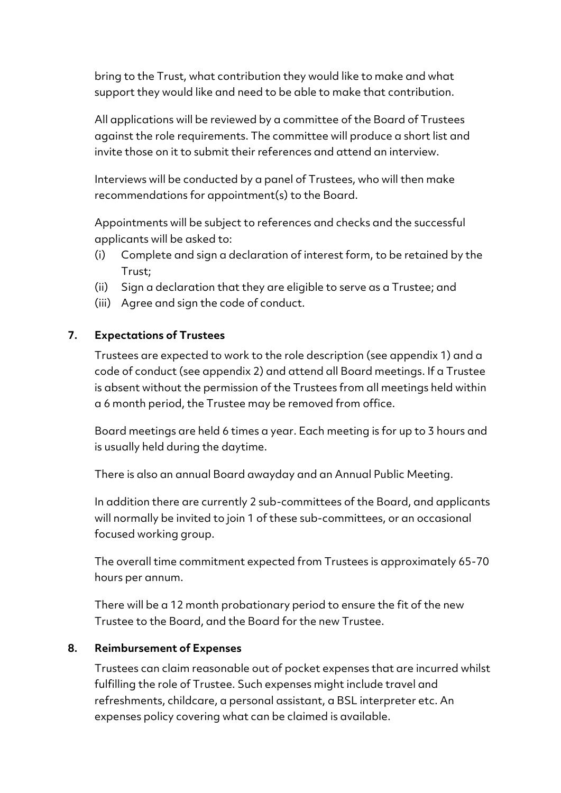bring to the Trust, what contribution they would like to make and what support they would like and need to be able to make that contribution.

All applications will be reviewed by a committee of the Board of Trustees against the role requirements. The committee will produce a short list and invite those on it to submit their references and attend an interview.

Interviews will be conducted by a panel of Trustees, who will then make recommendations for appointment(s) to the Board.

Appointments will be subject to references and checks and the successful applicants will be asked to:

- (i) Complete and sign a declaration of interest form, to be retained by the Trust;
- (ii) Sign a declaration that they are eligible to serve as a Trustee; and
- (iii) Agree and sign the code of conduct.

## **7. Expectations of Trustees**

Trustees are expected to work to the role description (see appendix 1) and a code of conduct (see appendix 2) and attend all Board meetings. If a Trustee is absent without the permission of the Trustees from all meetings held within a 6 month period, the Trustee may be removed from office.

Board meetings are held 6 times a year. Each meeting is for up to 3 hours and is usually held during the daytime.

There is also an annual Board awayday and an Annual Public Meeting.

In addition there are currently 2 sub-committees of the Board, and applicants will normally be invited to join 1 of these sub-committees, or an occasional focused working group.

The overall time commitment expected from Trustees is approximately 65-70 hours per annum.

There will be a 12 month probationary period to ensure the fit of the new Trustee to the Board, and the Board for the new Trustee.

#### **8. Reimbursement of Expenses**

Trustees can claim reasonable out of pocket expenses that are incurred whilst fulfilling the role of Trustee. Such expenses might include travel and refreshments, childcare, a personal assistant, a BSL interpreter etc. An expenses policy covering what can be claimed is available.